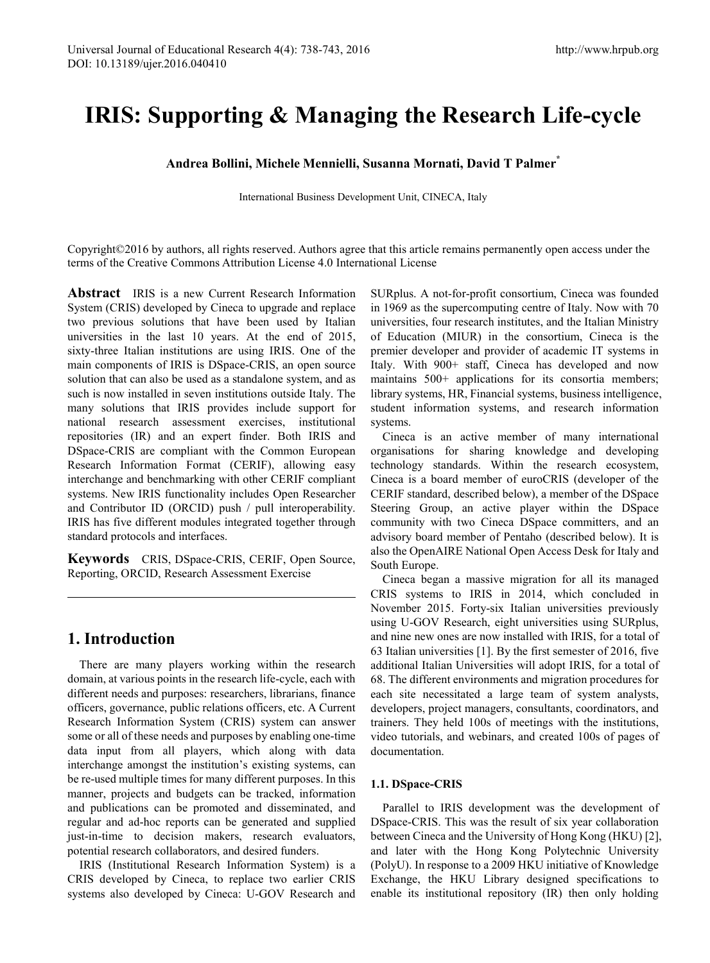# **IRIS: Supporting & Managing the Research Life-cycle**

**Andrea Bollini, Michele Mennielli, Susanna Mornati, David T Palmer\***

International Business Development Unit, CINECA, Italy

Copyright©2016 by authors, all rights reserved. Authors agree that this article remains permanently open access under the terms of the Creative Commons Attribution License 4.0 International License

**Abstract** IRIS is a new Current Research Information System (CRIS) developed by Cineca to upgrade and replace two previous solutions that have been used by Italian universities in the last 10 years. At the end of 2015, sixty-three Italian institutions are using IRIS. One of the main components of IRIS is DSpace-CRIS, an open source solution that can also be used as a standalone system, and as such is now installed in seven institutions outside Italy. The many solutions that IRIS provides include support for national research assessment exercises, institutional repositories (IR) and an expert finder. Both IRIS and DSpace-CRIS are compliant with the Common European Research Information Format (CERIF), allowing easy interchange and benchmarking with other CERIF compliant systems. New IRIS functionality includes Open Researcher and Contributor ID (ORCID) push / pull interoperability. IRIS has five different modules integrated together through standard protocols and interfaces.

**Keywords** CRIS, DSpace-CRIS, CERIF, Open Source, Reporting, ORCID, Research Assessment Exercise

## **1. Introduction**

There are many players working within the research domain, at various points in the research life-cycle, each with different needs and purposes: researchers, librarians, finance officers, governance, public relations officers, etc. A Current Research Information System (CRIS) system can answer some or all of these needs and purposes by enabling one-time data input from all players, which along with data interchange amongst the institution's existing systems, can be re-used multiple times for many different purposes. In this manner, projects and budgets can be tracked, information and publications can be promoted and disseminated, and regular and ad-hoc reports can be generated and supplied just-in-time to decision makers, research evaluators, potential research collaborators, and desired funders.

IRIS (Institutional Research Information System) is a CRIS developed by Cineca, to replace two earlier CRIS systems also developed by Cineca: U-GOV Research and

SURplus. A not-for-profit consortium, Cineca was founded in 1969 as the supercomputing centre of Italy. Now with 70 universities, four research institutes, and the Italian Ministry of Education (MIUR) in the consortium, Cineca is the premier developer and provider of academic IT systems in Italy. With 900+ staff, Cineca has developed and now maintains 500+ applications for its consortia members; library systems, HR, Financial systems, business intelligence, student information systems, and research information systems.

Cineca is an active member of many international organisations for sharing knowledge and developing technology standards. Within the research ecosystem, Cineca is a board member of euroCRIS (developer of the CERIF standard, described below), a member of the DSpace Steering Group, an active player within the DSpace community with two Cineca DSpace committers, and an advisory board member of Pentaho (described below). It is also the OpenAIRE National Open Access Desk for Italy and South Europe.

Cineca began a massive migration for all its managed CRIS systems to IRIS in 2014, which concluded in November 2015. Forty-six Italian universities previously using U-GOV Research, eight universities using SURplus, and nine new ones are now installed with IRIS, for a total of 63 Italian universities [1]. By the first semester of 2016, five additional Italian Universities will adopt IRIS, for a total of 68. The different environments and migration procedures for each site necessitated a large team of system analysts, developers, project managers, consultants, coordinators, and trainers. They held 100s of meetings with the institutions, video tutorials, and webinars, and created 100s of pages of documentation.

### **1.1. DSpace-CRIS**

Parallel to IRIS development was the development of DSpace-CRIS. This was the result of six year collaboration between Cineca and the University of Hong Kong (HKU) [2], and later with the Hong Kong Polytechnic University (PolyU). In response to a 2009 HKU initiative of Knowledge Exchange, the HKU Library designed specifications to enable its institutional repository (IR) then only holding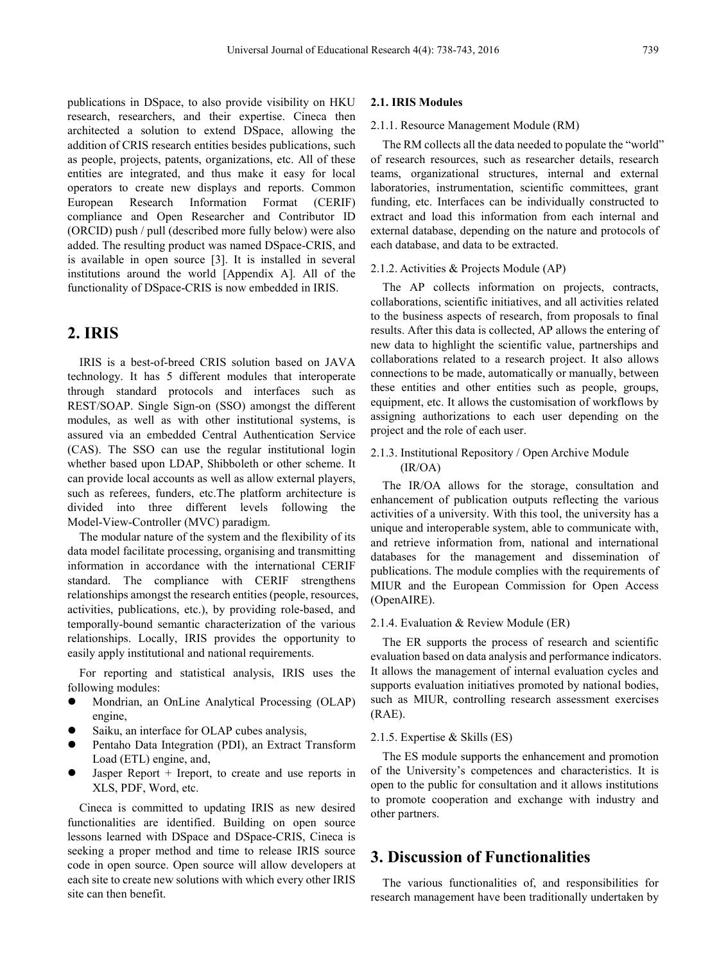publications in DSpace, to also provide visibility on HKU research, researchers, and their expertise. Cineca then architected a solution to extend DSpace, allowing the addition of CRIS research entities besides publications, such as people, projects, patents, organizations, etc. All of these entities are integrated, and thus make it easy for local operators to create new displays and reports. Common European Research Information Format (CERIF) compliance and Open Researcher and Contributor ID (ORCID) push / pull (described more fully below) were also added. The resulting product was named DSpace-CRIS, and is available in open source [3]. It is installed in several institutions around the world [Appendix A]. All of the functionality of DSpace-CRIS is now embedded in IRIS.

# **2. IRIS**

IRIS is a best-of-breed CRIS solution based on JAVA technology. It has 5 different modules that interoperate through standard protocols and interfaces such as REST/SOAP. Single Sign-on (SSO) amongst the different modules, as well as with other institutional systems, is assured via an embedded Central Authentication Service (CAS). The SSO can use the regular institutional login whether based upon LDAP, Shibboleth or other scheme. It can provide local accounts as well as allow external players, such as referees, funders, etc.The platform architecture is divided into three different levels following the Model-View-Controller (MVC) paradigm.

The modular nature of the system and the flexibility of its data model facilitate processing, organising and transmitting information in accordance with the international CERIF standard. The compliance with CERIF strengthens relationships amongst the research entities (people, resources, activities, publications, etc.), by providing role-based, and temporally-bound semantic characterization of the various relationships. Locally, IRIS provides the opportunity to easily apply institutional and national requirements.

For reporting and statistical analysis, IRIS uses the following modules:

- Mondrian, an OnLine Analytical Processing (OLAP) engine,
- Saiku, an interface for OLAP cubes analysis,
- Pentaho Data Integration (PDI), an Extract Transform Load (ETL) engine, and,
- Jasper Report + Ireport, to create and use reports in XLS, PDF, Word, etc.

Cineca is committed to updating IRIS as new desired functionalities are identified. Building on open source lessons learned with DSpace and DSpace-CRIS, Cineca is seeking a proper method and time to release IRIS source code in open source. Open source will allow developers at each site to create new solutions with which every other IRIS site can then benefit.

### **2.1. IRIS Modules**

#### 2.1.1. Resource Management Module (RM)

The RM collects all the data needed to populate the "world" of research resources, such as researcher details, research teams, organizational structures, internal and external laboratories, instrumentation, scientific committees, grant funding, etc. Interfaces can be individually constructed to extract and load this information from each internal and external database, depending on the nature and protocols of each database, and data to be extracted.

### 2.1.2. Activities & Projects Module (AP)

The AP collects information on projects, contracts, collaborations, scientific initiatives, and all activities related to the business aspects of research, from proposals to final results. After this data is collected, AP allows the entering of new data to highlight the scientific value, partnerships and collaborations related to a research project. It also allows connections to be made, automatically or manually, between these entities and other entities such as people, groups, equipment, etc. It allows the customisation of workflows by assigning authorizations to each user depending on the project and the role of each user.

### 2.1.3. Institutional Repository / Open Archive Module (IR/OA)

The IR/OA allows for the storage, consultation and enhancement of publication outputs reflecting the various activities of a university. With this tool, the university has a unique and interoperable system, able to communicate with, and retrieve information from, national and international databases for the management and dissemination of publications. The module complies with the requirements of MIUR and the European Commission for Open Access (OpenAIRE).

### 2.1.4. Evaluation & Review Module (ER)

The ER supports the process of research and scientific evaluation based on data analysis and performance indicators. It allows the management of internal evaluation cycles and supports evaluation initiatives promoted by national bodies, such as MIUR, controlling research assessment exercises (RAE).

#### 2.1.5. Expertise & Skills (ES)

The ES module supports the enhancement and promotion of the University's competences and characteristics. It is open to the public for consultation and it allows institutions to promote cooperation and exchange with industry and other partners.

### **3. Discussion of Functionalities**

The various functionalities of, and responsibilities for research management have been traditionally undertaken by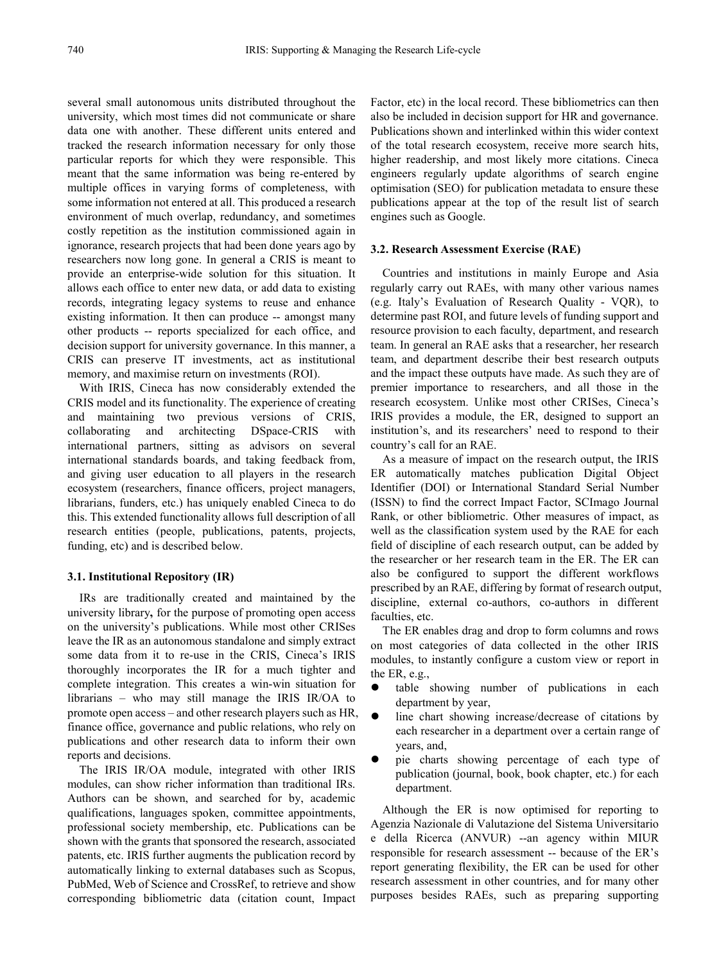several small autonomous units distributed throughout the university, which most times did not communicate or share data one with another. These different units entered and tracked the research information necessary for only those particular reports for which they were responsible. This meant that the same information was being re-entered by multiple offices in varying forms of completeness, with some information not entered at all. This produced a research environment of much overlap, redundancy, and sometimes costly repetition as the institution commissioned again in ignorance, research projects that had been done years ago by researchers now long gone. In general a CRIS is meant to provide an enterprise-wide solution for this situation. It allows each office to enter new data, or add data to existing records, integrating legacy systems to reuse and enhance existing information. It then can produce -- amongst many other products -- reports specialized for each office, and decision support for university governance. In this manner, a CRIS can preserve IT investments, act as institutional memory, and maximise return on investments (ROI).

With IRIS, Cineca has now considerably extended the CRIS model and its functionality. The experience of creating and maintaining two previous versions of CRIS, collaborating and architecting DSpace-CRIS with international partners, sitting as advisors on several international standards boards, and taking feedback from, and giving user education to all players in the research ecosystem (researchers, finance officers, project managers, librarians, funders, etc.) has uniquely enabled Cineca to do this. This extended functionality allows full description of all research entities (people, publications, patents, projects, funding, etc) and is described below.

### **3.1. Institutional Repository (IR)**

IRs are traditionally created and maintained by the university library**,** for the purpose of promoting open access on the university's publications. While most other CRISes leave the IR as an autonomous standalone and simply extract some data from it to re-use in the CRIS, Cineca's IRIS thoroughly incorporates the IR for a much tighter and complete integration. This creates a win-win situation for librarians – who may still manage the IRIS IR/OA to promote open access – and other research players such as HR, finance office, governance and public relations, who rely on publications and other research data to inform their own reports and decisions.

The IRIS IR/OA module, integrated with other IRIS modules, can show richer information than traditional IRs. Authors can be shown, and searched for by, academic qualifications, languages spoken, committee appointments, professional society membership, etc. Publications can be shown with the grants that sponsored the research, associated patents, etc. IRIS further augments the publication record by automatically linking to external databases such as Scopus, PubMed, Web of Science and CrossRef, to retrieve and show corresponding bibliometric data (citation count, Impact

Factor, etc) in the local record. These bibliometrics can then also be included in decision support for HR and governance. Publications shown and interlinked within this wider context of the total research ecosystem, receive more search hits, higher readership, and most likely more citations. Cineca engineers regularly update algorithms of search engine optimisation (SEO) for publication metadata to ensure these publications appear at the top of the result list of search engines such as Google.

#### **3.2. Research Assessment Exercise (RAE)**

Countries and institutions in mainly Europe and Asia regularly carry out RAEs, with many other various names (e.g. Italy's Evaluation of Research Quality - VQR), to determine past ROI, and future levels of funding support and resource provision to each faculty, department, and research team. In general an RAE asks that a researcher, her research team, and department describe their best research outputs and the impact these outputs have made. As such they are of premier importance to researchers, and all those in the research ecosystem. Unlike most other CRISes, Cineca's IRIS provides a module, the ER, designed to support an institution's, and its researchers' need to respond to their country's call for an RAE.

As a measure of impact on the research output, the IRIS ER automatically matches publication Digital Object Identifier (DOI) or International Standard Serial Number (ISSN) to find the correct Impact Factor, SCImago Journal Rank, or other bibliometric. Other measures of impact, as well as the classification system used by the RAE for each field of discipline of each research output, can be added by the researcher or her research team in the ER. The ER can also be configured to support the different workflows prescribed by an RAE, differing by format of research output, discipline, external co-authors, co-authors in different faculties, etc.

The ER enables drag and drop to form columns and rows on most categories of data collected in the other IRIS modules, to instantly configure a custom view or report in the ER, e.g.,

- table showing number of publications in each department by year,
- line chart showing increase/decrease of citations by each researcher in a department over a certain range of years, and,
- pie charts showing percentage of each type of publication (journal, book, book chapter, etc.) for each department.

Although the ER is now optimised for reporting to Agenzia Nazionale di Valutazione del Sistema Universitario e della Ricerca (ANVUR) --an agency within MIUR responsible for research assessment -- because of the ER's report generating flexibility, the ER can be used for other research assessment in other countries, and for many other purposes besides RAEs, such as preparing supporting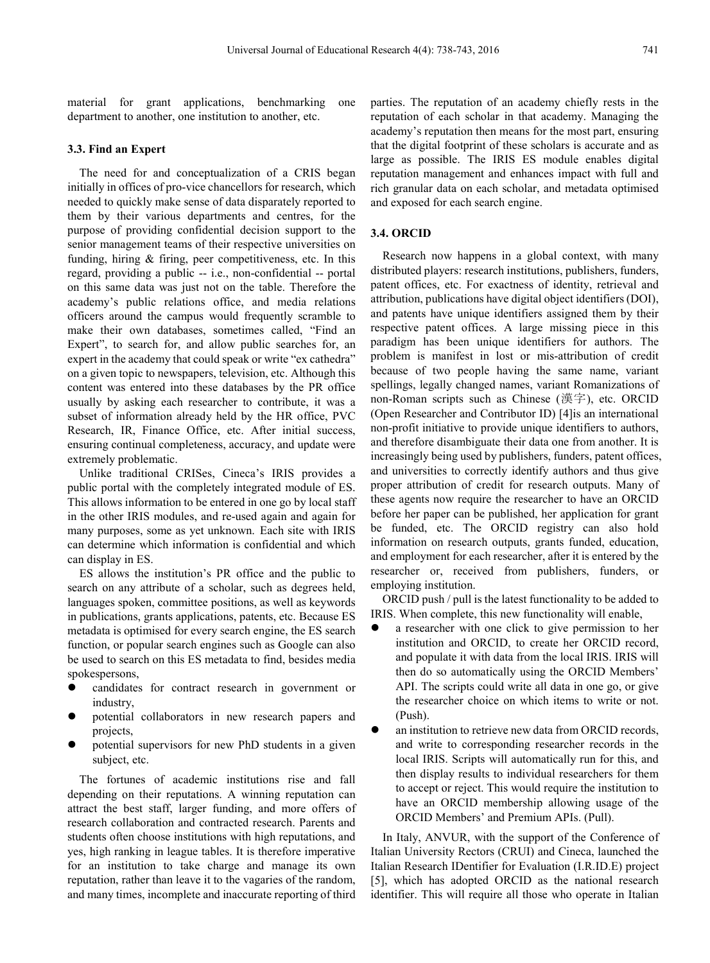material for grant applications, benchmarking one department to another, one institution to another, etc.

### **3.3. Find an Expert**

The need for and conceptualization of a CRIS began initially in offices of pro-vice chancellors for research, which needed to quickly make sense of data disparately reported to them by their various departments and centres, for the purpose of providing confidential decision support to the senior management teams of their respective universities on funding, hiring  $&$  firing, peer competitiveness, etc. In this regard, providing a public -- i.e., non-confidential -- portal on this same data was just not on the table. Therefore the academy's public relations office, and media relations officers around the campus would frequently scramble to make their own databases, sometimes called, "Find an Expert", to search for, and allow public searches for, an expert in the academy that could speak or write "ex cathedra" on a given topic to newspapers, television, etc. Although this content was entered into these databases by the PR office usually by asking each researcher to contribute, it was a subset of information already held by the HR office, PVC Research, IR, Finance Office, etc. After initial success, ensuring continual completeness, accuracy, and update were extremely problematic.

Unlike traditional CRISes, Cineca's IRIS provides a public portal with the completely integrated module of ES. This allows information to be entered in one go by local staff in the other IRIS modules, and re-used again and again for many purposes, some as yet unknown. Each site with IRIS can determine which information is confidential and which can display in ES.

ES allows the institution's PR office and the public to search on any attribute of a scholar, such as degrees held, languages spoken, committee positions, as well as keywords in publications, grants applications, patents, etc. Because ES metadata is optimised for every search engine, the ES search function, or popular search engines such as Google can also be used to search on this ES metadata to find, besides media spokespersons,

- candidates for contract research in government or industry,
- potential collaborators in new research papers and projects,
- potential supervisors for new PhD students in a given subject, etc.

The fortunes of academic institutions rise and fall depending on their reputations. A winning reputation can attract the best staff, larger funding, and more offers of research collaboration and contracted research. Parents and students often choose institutions with high reputations, and yes, high ranking in league tables. It is therefore imperative for an institution to take charge and manage its own reputation, rather than leave it to the vagaries of the random, and many times, incomplete and inaccurate reporting of third

parties. The reputation of an academy chiefly rests in the reputation of each scholar in that academy. Managing the academy's reputation then means for the most part, ensuring that the digital footprint of these scholars is accurate and as large as possible. The IRIS ES module enables digital reputation management and enhances impact with full and rich granular data on each scholar, and metadata optimised and exposed for each search engine.

### **3.4. ORCID**

Research now happens in a global context, with many distributed players: research institutions, publishers, funders, patent offices, etc. For exactness of identity, retrieval and attribution, publications have digital object identifiers (DOI), and patents have unique identifiers assigned them by their respective patent offices. A large missing piece in this paradigm has been unique identifiers for authors. The problem is manifest in lost or mis-attribution of credit because of two people having the same name, variant spellings, legally changed names, variant Romanizations of non-Roman scripts such as Chinese (漢字), etc. ORCID (Open Researcher and Contributor ID) [4]is an international non-profit initiative to provide unique identifiers to authors, and therefore disambiguate their data one from another. It is increasingly being used by publishers, funders, patent offices, and universities to correctly identify authors and thus give proper attribution of credit for research outputs. Many of these agents now require the researcher to have an ORCID before her paper can be published, her application for grant be funded, etc. The ORCID registry can also hold information on research outputs, grants funded, education, and employment for each researcher, after it is entered by the researcher or, received from publishers, funders, or employing institution.

ORCID push / pull is the latest functionality to be added to IRIS. When complete, this new functionality will enable,

- a researcher with one click to give permission to her institution and ORCID, to create her ORCID record, and populate it with data from the local IRIS. IRIS will then do so automatically using the ORCID Members' API. The scripts could write all data in one go, or give the researcher choice on which items to write or not. (Push).
- an institution to retrieve new data from ORCID records, and write to corresponding researcher records in the local IRIS. Scripts will automatically run for this, and then display results to individual researchers for them to accept or reject. This would require the institution to have an ORCID membership allowing usage of the ORCID Members' and Premium APIs. (Pull).

In Italy, ANVUR, with the support of the Conference of Italian University Rectors (CRUI) and Cineca, launched the Italian Research IDentifier for Evaluation (I.R.ID.E) project [5], which has adopted ORCID as the national research identifier. This will require all those who operate in Italian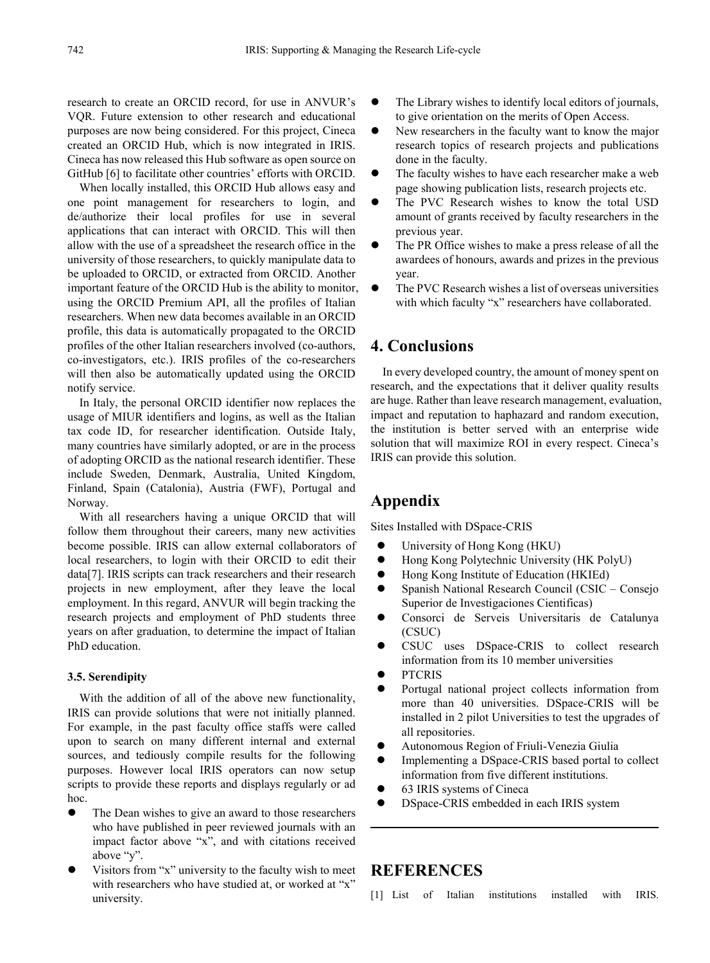research to create an ORCID record, for use in ANVUR's VQR. Future extension to other research and educational purposes are now being considered. For this project, Cineca created an ORCID Hub, which is now integrated in IRIS. Cineca has now released this Hub software as open source on GitHub [6] to facilitate other countries' efforts with ORCID.

When locally installed, this ORCID Hub allows easy and one point management for researchers to login, and de/authorize their local profiles for use in several applications that can interact with ORCID. This will then allow with the use of a spreadsheet the research office in the university of those researchers, to quickly manipulate data to be uploaded to ORCID, or extracted from ORCID. Another important feature of the ORCID Hub is the ability to monitor, using the ORCID Premium API, all the profiles of Italian researchers. When new data becomes available in an ORCID profile, this data is automatically propagated to the ORCID profiles of the other Italian researchers involved (co-authors, co-investigators, etc.). IRIS profiles of the co-researchers will then also be automatically updated using the ORCID notify service.

In Italy, the personal ORCID identifier now replaces the usage of MIUR identifiers and logins, as well as the Italian tax code ID, for researcher identification. Outside Italy, many countries have similarly adopted, or are in the process of adopting ORCID as the national research identifier. These include Sweden, Denmark, Australia, United Kingdom, Finland, Spain (Catalonia), Austria (FWF), Portugal and Norway.

With all researchers having a unique ORCID that will follow them throughout their careers, many new activities become possible. IRIS can allow external collaborators of local researchers, to login with their ORCID to edit their data[7]. IRIS scripts can track researchers and their research projects in new employment, after they leave the local employment. In this regard, ANVUR will begin tracking the research projects and employment of PhD students three years on after graduation, to determine the impact of Italian PhD education.

### **3.5. Serendipity**

With the addition of all of the above new functionality, IRIS can provide solutions that were not initially planned. For example, in the past faculty office staffs were called upon to search on many different internal and external sources, and tediously compile results for the following purposes. However local IRIS operators can now setup scripts to provide these reports and displays regularly or ad hoc.

- The Dean wishes to give an award to those researchers who have published in peer reviewed journals with an impact factor above "x", and with citations received above "y".
- Visitors from "x" university to the faculty wish to meet with researchers who have studied at, or worked at "x" university.
- The Library wishes to identify local editors of journals, to give orientation on the merits of Open Access.
- New researchers in the faculty want to know the major research topics of research projects and publications done in the faculty.
- The faculty wishes to have each researcher make a web page showing publication lists, research projects etc.
- The PVC Research wishes to know the total USD amount of grants received by faculty researchers in the previous year.
- The PR Office wishes to make a press release of all the awardees of honours, awards and prizes in the previous year.
- The PVC Research wishes a list of overseas universities with which faculty "x" researchers have collaborated.

### **4. Conclusions**

In every developed country, the amount of money spent on research, and the expectations that it deliver quality results are huge. Rather than leave research management, evaluation, impact and reputation to haphazard and random execution, the institution is better served with an enterprise wide solution that will maximize ROI in every respect. Cineca's IRIS can provide this solution.

### **Appendix**

Sites Installed with DSpace-CRIS

- University of Hong Kong (HKU)
- Hong Kong Polytechnic University (HK PolyU)
- Hong Kong Institute of Education (HKIEd)
- Spanish National Research Council (CSIC Consejo Superior de Investigaciones Cientificas)
- Consorci de Serveis Universitaris de Catalunya (CSUC)
- CSUC uses DSpace-CRIS to collect research information from its 10 member universities
- **•** PTCRIS
- Portugal national project collects information from more than 40 universities. DSpace-CRIS will be installed in 2 pilot Universities to test the upgrades of all repositories.
- Autonomous Region of Friuli-Venezia Giulia
- Implementing a DSpace-CRIS based portal to collect information from five different institutions.
- 63 IRIS systems of Cineca
- DSpace-CRIS embedded in each IRIS system

### **REFERENCES**

[1] List of Italian institutions installed with IRIS.